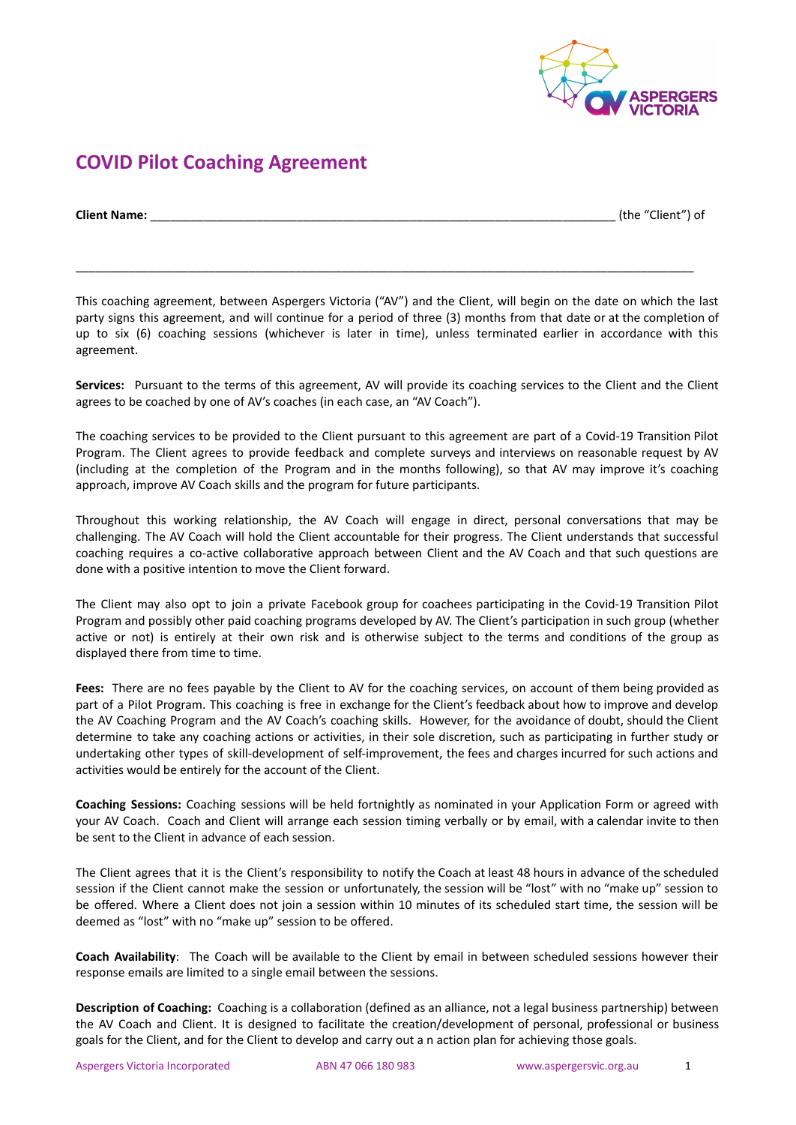

## **COVID Pilot Coaching Agreement**

**Client Name:**  $\qquad$  (the "Client") of

This coaching agreement, between Aspergers Victoria ("AV") and the Client, will begin on the date on which the last party signs this agreement, and will continue for a period of three (3) months from that date or at the completion of up to six (6) coaching sessions (whichever is later in time), unless terminated earlier in accordance with this agreement.

\_\_\_\_\_\_\_\_\_\_\_\_\_\_\_\_\_\_\_\_\_\_\_\_\_\_\_\_\_\_\_\_\_\_\_\_\_\_\_\_\_\_\_\_\_\_\_\_\_\_\_\_\_\_\_\_\_\_\_\_\_\_\_\_\_\_\_\_\_\_\_\_\_\_\_\_\_\_\_\_\_\_\_\_\_\_\_\_\_\_\_\_\_

**Services:** Pursuant to the terms of this agreement, AV will provide its coaching services to the Client and the Client agrees to be coached by one of AV's coaches (in each case, an "AV Coach").

The coaching services to be provided to the Client pursuant to this agreement are part of a Covid-19 Transition Pilot Program. The Client agrees to provide feedback and complete surveys and interviews on reasonable request by AV (including at the completion of the Program and in the months following), so that AV may improve it's coaching approach, improve AV Coach skills and the program for future participants.

Throughout this working relationship, the AV Coach will engage in direct, personal conversations that may be challenging. The AV Coach will hold the Client accountable for their progress. The Client understands that successful coaching requires a co-active collaborative approach between Client and the AV Coach and that such questions are done with a positive intention to move the Client forward.

The Client may also opt to join a private Facebook group for coachees participating in the Covid-19 Transition Pilot Program and possibly other paid coaching programs developed by AV. The Client's participation in such group (whether active or not) is entirely at their own risk and is otherwise subject to the terms and conditions of the group as displayed there from time to time.

**Fees:** There are no fees payable by the Client to AV for the coaching services, on account of them being provided as part of a Pilot Program. This coaching is free in exchange for the Client's feedback about how to improve and develop the AV Coaching Program and the AV Coach's coaching skills. However, for the avoidance of doubt, should the Client determine to take any coaching actions or activities, in their sole discretion, such as participating in further study or undertaking other types of skill-development of self-improvement, the fees and charges incurred for such actions and activities would be entirely for the account of the Client.

**Coaching Sessions:** Coaching sessions will be held fortnightly as nominated in your Application Form or agreed with your AV Coach. Coach and Client will arrange each session timing verbally or by email, with a calendar invite to then be sent to the Client in advance of each session.

The Client agrees that it is the Client's responsibility to notify the Coach at least 48 hours in advance of the scheduled session if the Client cannot make the session or unfortunately, the session will be "lost" with no "make up" session to be offered. Where a Client does not join a session within 10 minutes of its scheduled start time, the session will be deemed as "lost" with no "make up" session to be offered.

**Coach Availability**: The Coach will be available to the Client by email in between scheduled sessions however their response emails are limited to a single email between the sessions.

**Description of Coaching:** Coaching is a collaboration (defined as an alliance, not a legal business partnership) between the AV Coach and Client. It is designed to facilitate the creation/development of personal, professional or business goals for the Client, and for the Client to develop and carry out a n action plan for achieving those goals.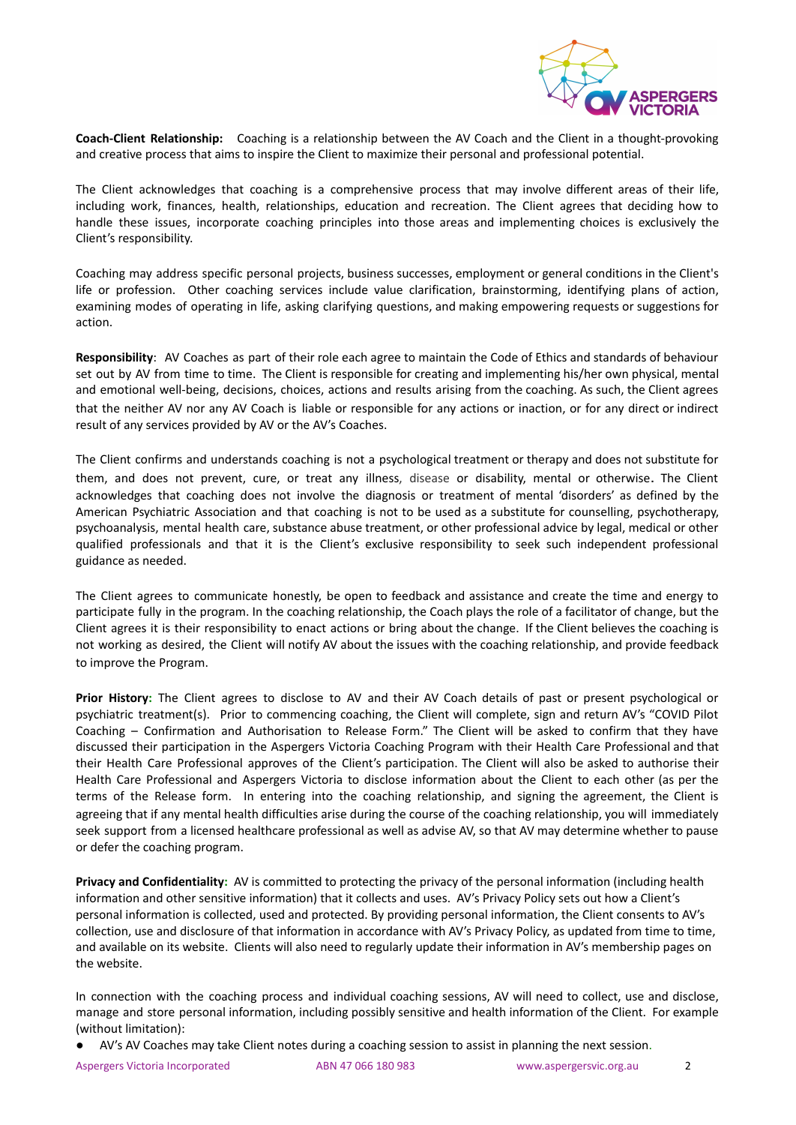

**Coach-Client Relationship:** Coaching is a relationship between the AV Coach and the Client in a thought-provoking and creative process that aims to inspire the Client to maximize their personal and professional potential.

The Client acknowledges that coaching is a comprehensive process that may involve different areas of their life, including work, finances, health, relationships, education and recreation. The Client agrees that deciding how to handle these issues, incorporate coaching principles into those areas and implementing choices is exclusively the Client's responsibility.

Coaching may address specific personal projects, business successes, employment or general conditions in the Client's life or profession. Other coaching services include value clarification, brainstorming, identifying plans of action, examining modes of operating in life, asking clarifying questions, and making empowering requests or suggestions for action.

**Responsibility**: AV Coaches as part of their role each agree to maintain the Code of Ethics and standards of behaviour set out by AV from time to time. The Client is responsible for creating and implementing his/her own physical, mental and emotional well-being, decisions, choices, actions and results arising from the coaching. As such, the Client agrees that the neither AV nor any AV Coach is liable or responsible for any actions or inaction, or for any direct or indirect result of any services provided by AV or the AV's Coaches.

The Client confirms and understands coaching is not a psychological treatment or therapy and does not substitute for them, and does not prevent, cure, or treat any illness, disease or disability, mental or otherwise. The Client acknowledges that coaching does not involve the diagnosis or treatment of mental 'disorders' as defined by the American Psychiatric Association and that coaching is not to be used as a substitute for counselling, psychotherapy, psychoanalysis, mental health care, substance abuse treatment, or other professional advice by legal, medical or other qualified professionals and that it is the Client's exclusive responsibility to seek such independent professional guidance as needed.

The Client agrees to communicate honestly, be open to feedback and assistance and create the time and energy to participate fully in the program. In the coaching relationship, the Coach plays the role of a facilitator of change, but the Client agrees it is their responsibility to enact actions or bring about the change. If the Client believes the coaching is not working as desired, the Client will notify AV about the issues with the coaching relationship, and provide feedback to improve the Program.

**Prior History:** The Client agrees to disclose to AV and their AV Coach details of past or present psychological or psychiatric treatment(s). Prior to commencing coaching, the Client will complete, sign and return AV's "COVID Pilot Coaching – Confirmation and Authorisation to Release Form." The Client will be asked to confirm that they have discussed their participation in the Aspergers Victoria Coaching Program with their Health Care Professional and that their Health Care Professional approves of the Client's participation. The Client will also be asked to authorise their Health Care Professional and Aspergers Victoria to disclose information about the Client to each other (as per the terms of the Release form. In entering into the coaching relationship, and signing the agreement, the Client is agreeing that if any mental health difficulties arise during the course of the coaching relationship, you will immediately seek support from a licensed healthcare professional as well as advise AV, so that AV may determine whether to pause or defer the coaching program.

**Privacy and Confidentiality:** AV is committed to protecting the privacy of the personal information (including health information and other sensitive information) that it collects and uses. AV's Privacy Policy sets out how a Client's personal information is collected, used and protected. By providing personal information, the Client consents to AV's collection, use and disclosure of that information in accordance with AV's Privacy Policy, as updated from time to time, and available on its website. Clients will also need to regularly update their information in AV's membership pages on the website.

In connection with the coaching process and individual coaching sessions, AV will need to collect, use and disclose, manage and store personal information, including possibly sensitive and health information of the Client. For example (without limitation):

AV's AV Coaches may take Client notes during a coaching session to assist in planning the next session.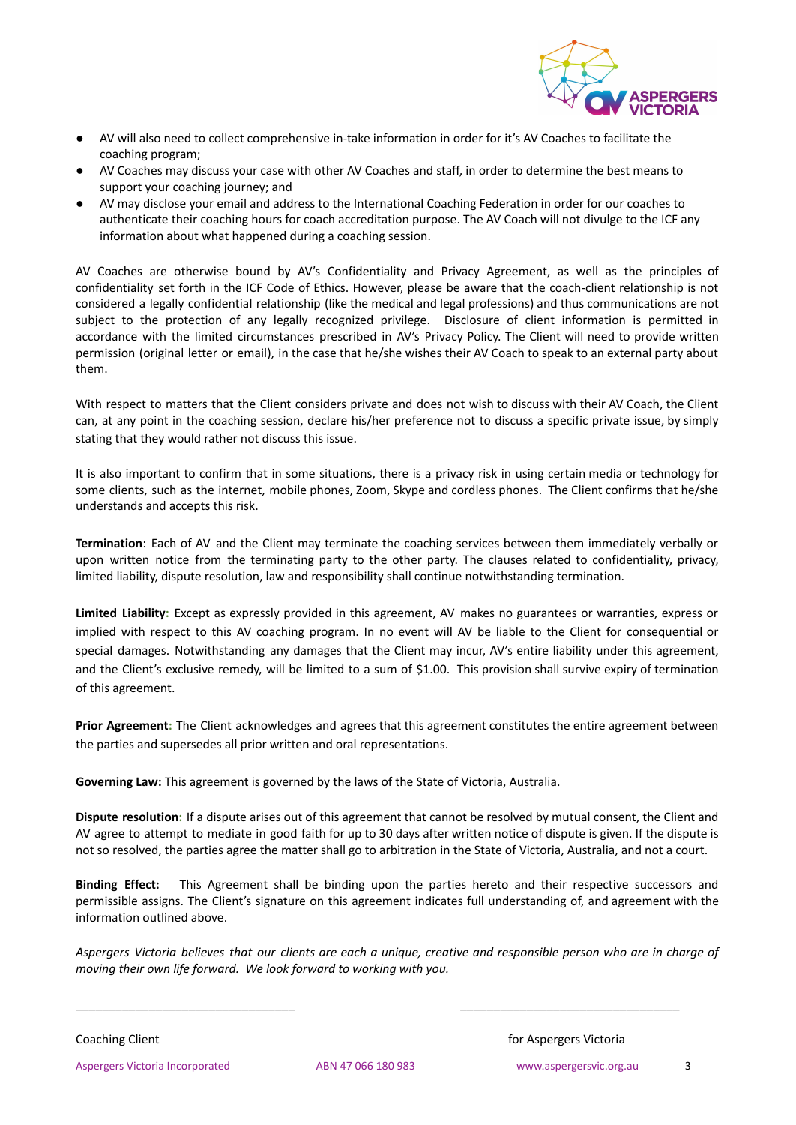

- AV will also need to collect comprehensive in-take information in order for it's AV Coaches to facilitate the coaching program;
- AV Coaches may discuss your case with other AV Coaches and staff, in order to determine the best means to support your coaching journey; and
- AV may disclose your email and address to the International Coaching Federation in order for our coaches to authenticate their coaching hours for coach accreditation purpose. The AV Coach will not divulge to the ICF any information about what happened during a coaching session.

AV Coaches are otherwise bound by AV's Confidentiality and Privacy Agreement, as well as the principles of confidentiality set forth in the ICF [Code](http://www.coachfederation.org) of Ethics. However, please be aware that the coach-client relationship is not considered a legally confidential relationship (like the medical and legal professions) and thus communications are not subject to the protection of any legally recognized privilege. Disclosure of client information is permitted in accordance with the limited circumstances prescribed in AV's Privacy Policy. The Client will need to provide written permission (original letter or email), in the case that he/she wishes their AV Coach to speak to an external party about them.

With respect to matters that the Client considers private and does not wish to discuss with their AV Coach, the Client can, at any point in the coaching session, declare his/her preference not to discuss a specific private issue, by simply stating that they would rather not discuss this issue.

It is also important to confirm that in some situations, there is a privacy risk in using certain media or technology for some clients, such as the internet, mobile phones, Zoom, Skype and cordless phones. The Client confirms that he/she understands and accepts this risk.

**Termination**: Each of AV and the Client may terminate the coaching services between them immediately verbally or upon written notice from the terminating party to the other party. The clauses related to confidentiality, privacy, limited liability, dispute resolution, law and responsibility shall continue notwithstanding termination.

**Limited Liability:** Except as expressly provided in this agreement, AV makes no guarantees or warranties, express or implied with respect to this AV coaching program. In no event will AV be liable to the Client for consequential or special damages. Notwithstanding any damages that the Client may incur, AV's entire liability under this agreement, and the Client's exclusive remedy, will be limited to a sum of \$1.00. This provision shall survive expiry of termination of this agreement.

**Prior Agreement:** The Client acknowledges and agrees that this agreement constitutes the entire agreement between the parties and supersedes all prior written and oral representations.

**Governing Law:** This agreement is governed by the laws of the State of Victoria, Australia.

**Dispute resolution:** If a dispute arises out of this agreement that cannot be resolved by mutual consent, the Client and AV agree to attempt to mediate in good faith for up to 30 days after written notice of dispute is given. If the dispute is not so resolved, the parties agree the matter shall go to arbitration in the State of Victoria, Australia, and not a court.

**Binding Effect:** This Agreement shall be binding upon the parties hereto and their respective successors and permissible assigns. The Client's signature on this agreement indicates full understanding of, and agreement with the information outlined above.

Aspergers Victoria believes that our clients are each a unique, creative and responsible person who are in charge of *moving their own life forward. We look forward to working with you.*

**Coaching Client Coaching Client for Aspergers Victoria** 

 $\overline{\phantom{a}}$  , and the contribution of the contribution of the contribution of the contribution of the contribution of the contribution of the contribution of the contribution of the contribution of the contribution of the